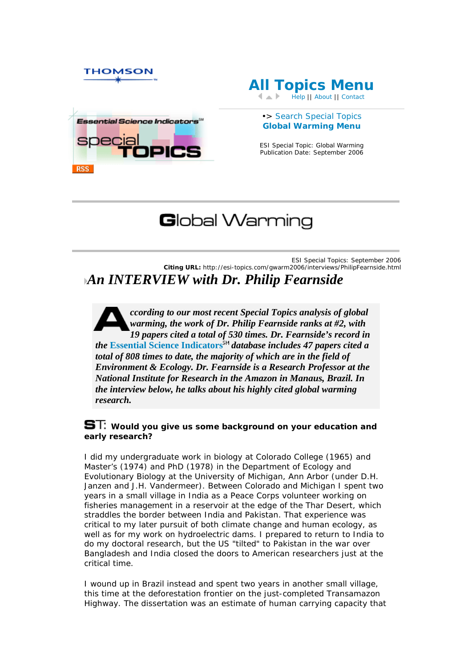



# **All Topics Menu**

Help || About || Contact

#### •> Search Special Topics **Global Warming Menu**

ESI Special Topic: Global Warming Publication Date: September 2006

# **Global Warming**

ESI Special Topics: September 2006 **Citing URL:** http://esi-topics.com/gwarm2006/interviews/PhilipFearnside.html

## *An INTERVIEW with Dr. Philip Fearnside*

*ccording to our most recent Special Topics analysis of global warming, the work of Dr. Philip Fearnside ranks at #2, with 19 papers cited a total of 530 times. Dr. Fearnside's record in the* **Essential Science Indicators** *database includes 47 papers cited a total of 808 times to date, the majority of which are in the field of Environment & Ecology. Dr. Fearnside is a Research Professor at the National Institute for Research in the Amazon in Manaus, Brazil. In the interview below, he talks about his highly cited global warming research.*

#### **ST:** Would you give us some background on your education and **early research?**

I did my undergraduate work in biology at Colorado College (1965) and Master's (1974) and PhD (1978) in the Department of Ecology and Evolutionary Biology at the University of Michigan, Ann Arbor (under D.H. Janzen and J.H. Vandermeer). Between Colorado and Michigan I spent two years in a small village in India as a Peace Corps volunteer working on fisheries management in a reservoir at the edge of the Thar Desert, which straddles the border between India and Pakistan. That experience was critical to my later pursuit of both climate change and human ecology, as well as for my work on hydroelectric dams. I prepared to return to India to do my doctoral research, but the US "tilted" to Pakistan in the war over Bangladesh and India closed the doors to American researchers just at the critical time.

I wound up in Brazil instead and spent two years in another small village, this time at the deforestation frontier on the just-completed Transamazon Highway. The dissertation was an estimate of human carrying capacity that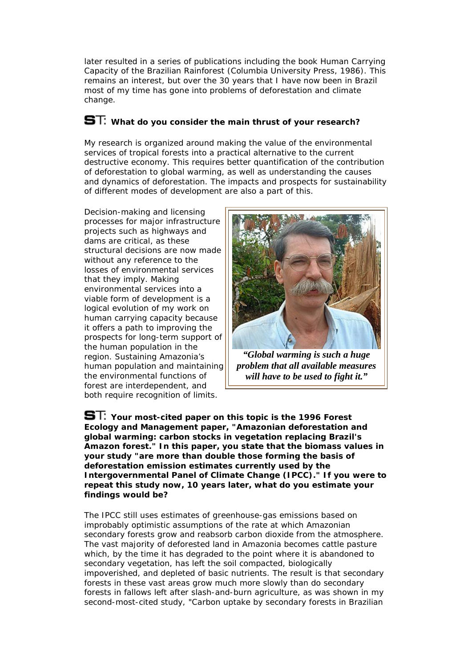later resulted in a series of publications including the book *Human Carrying Capacity of the Brazilian Rainforest* (Columbia University Press, 1986). This remains an interest, but over the 30 years that I have now been in Brazil most of my time has gone into problems of deforestation and climate change.

### **ST:** What do you consider the main thrust of your research?

My research is organized around making the value of the environmental services of tropical forests into a practical alternative to the current destructive economy. This requires better quantification of the contribution of deforestation to global warming, as well as understanding the causes and dynamics of deforestation. The impacts and prospects for sustainability of different modes of development are also a part of this.

Decision-making and licensing processes for major infrastructure projects such as highways and dams are critical, as these structural decisions are now made without any reference to the losses of environmental services that they imply. Making environmental services into a viable form of development is a logical evolution of my work on human carrying capacity because it offers a path to improving the prospects for long-term support of the human population in the region. Sustaining Amazonia's human population and maintaining the environmental functions of forest are interdependent, and both require recognition of limits.



*"Global warming is such a huge problem that all available measures will have to be used to fight it."*

**S**T: Your most-cited paper on this topic is the 1996 *Forest Ecology and Management* **paper, "Amazonian deforestation and global warming: carbon stocks in vegetation replacing Brazil's Amazon forest." In this paper, you state that the biomass values in your study "are more than double those forming the basis of deforestation emission estimates currently used by the Intergovernmental Panel of Climate Change (IPCC)." If you were to repeat this study now, 10 years later, what do you estimate your findings would be?**

The IPCC still uses estimates of greenhouse-gas emissions based on improbably optimistic assumptions of the rate at which Amazonian secondary forests grow and reabsorb carbon dioxide from the atmosphere. The vast majority of deforested land in Amazonia becomes cattle pasture which, by the time it has degraded to the point where it is abandoned to secondary vegetation, has left the soil compacted, biologically impoverished, and depleted of basic nutrients. The result is that secondary forests in these vast areas grow much more slowly than do secondary forests in fallows left after slash-and-burn agriculture, as was shown in my second-most-cited study, "Carbon uptake by secondary forests in Brazilian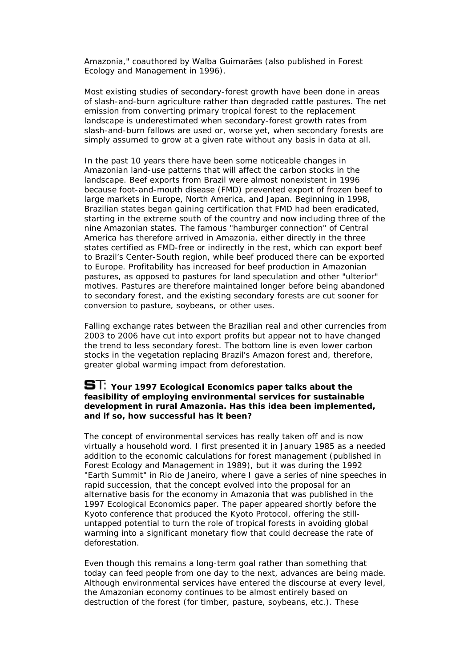Amazonia," coauthored by Walba Guimarães (also published in *Forest Ecology and Management* in 1996).

Most existing studies of secondary-forest growth have been done in areas of slash-and-burn agriculture rather than degraded cattle pastures. The net emission from converting primary tropical forest to the replacement landscape is underestimated when secondary-forest growth rates from slash-and-burn fallows are used or, worse yet, when secondary forests are simply assumed to grow at a given rate without any basis in data at all.

In the past 10 years there have been some noticeable changes in Amazonian land-use patterns that will affect the carbon stocks in the landscape. Beef exports from Brazil were almost nonexistent in 1996 because foot-and-mouth disease (FMD) prevented export of frozen beef to large markets in Europe, North America, and Japan. Beginning in 1998, Brazilian states began gaining certification that FMD had been eradicated, starting in the extreme south of the country and now including three of the nine Amazonian states. The famous "hamburger connection" of Central America has therefore arrived in Amazonia, either directly in the three states certified as FMD-free or indirectly in the rest, which can export beef to Brazil's Center-South region, while beef produced there can be exported to Europe. Profitability has increased for beef production in Amazonian pastures, as opposed to pastures for land speculation and other "ulterior" motives. Pastures are therefore maintained longer before being abandoned to secondary forest, and the existing secondary forests are cut sooner for conversion to pasture, soybeans, or other uses.

Falling exchange rates between the Brazilian real and other currencies from 2003 to 2006 have cut into export profits but appear not to have changed the trend to less secondary forest. The bottom line is even lower carbon stocks in the vegetation replacing Brazil's Amazon forest and, therefore, greater global warming impact from deforestation.

#### **ST:** Your 1997 *Ecological Economics* paper talks about the **feasibility of employing environmental services for sustainable development in rural Amazonia. Has this idea been implemented, and if so, how successful has it been?**

The concept of environmental services has really taken off and is now virtually a household word. I first presented it in January 1985 as a needed addition to the economic calculations for forest management (published in *Forest Ecology and Management* in 1989), but it was during the 1992 "Earth Summit" in Rio de Janeiro, where I gave a series of nine speeches in rapid succession, that the concept evolved into the proposal for an alternative basis for the economy in Amazonia that was published in the 1997 *Ecological Economics* paper. The paper appeared shortly before the Kyoto conference that produced the Kyoto Protocol, offering the stilluntapped potential to turn the role of tropical forests in avoiding global warming into a significant monetary flow that could decrease the rate of deforestation.

Even though this remains a long-term goal rather than something that today can feed people from one day to the next, advances are being made. Although environmental services have entered the discourse at every level, the Amazonian economy continues to be almost entirely based on destruction of the forest (for timber, pasture, soybeans, etc.). These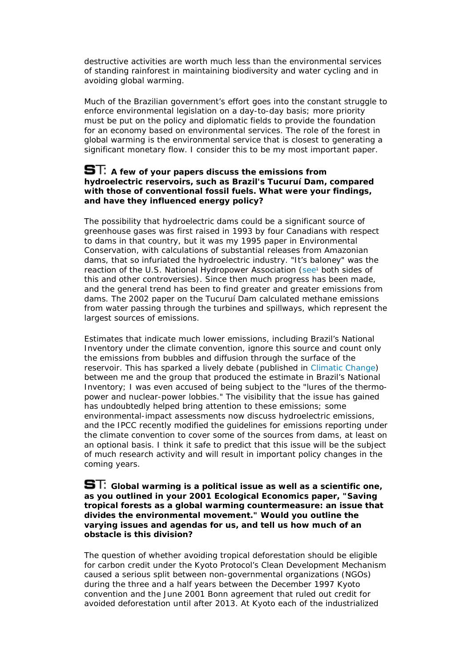destructive activities are worth much less than the environmental services of standing rainforest in maintaining biodiversity and water cycling and in avoiding global warming.

Much of the Brazilian government's effort goes into the constant struggle to enforce environmental legislation on a day-to-day basis; more priority must be put on the policy and diplomatic fields to provide the foundation for an economy based on environmental services. The role of the forest in global warming is the environmental service that is closest to generating a significant monetary flow. I consider this to be my most important paper.

#### **ST:** A few of your papers discuss the emissions from **hydroelectric reservoirs, such as Brazil's Tucuruí Dam, compared with those of conventional fossil fuels. What were your findings, and have they influenced energy policy?**

The possibility that hydroelectric dams could be a significant source of greenhouse gases was first raised in 1993 by four Canadians with respect to dams in that country, but it was my 1995 paper in *Environmental Conservation*, with calculations of substantial releases from Amazonian dams, that so infuriated the hydroelectric industry. "It's baloney" was the reaction of the U.S. National Hydropower Association (see<sup>1</sup> both sides of this and other controversies). Since then much progress has been made, and the general trend has been to find greater and greater emissions from dams. The 2002 paper on the Tucuruí Dam calculated methane emissions from water passing through the turbines and spillways, which represent the largest sources of emissions.

Estimates that indicate much lower emissions, including Brazil's National Inventory under the climate convention, ignore this source and count only the emissions from bubbles and diffusion through the surface of the reservoir. This has sparked a lively debate (published in *Climatic Change*) between me and the group that produced the estimate in Brazil's National Inventory; I was even accused of being subject to the "lures of the thermopower and nuclear-power lobbies." The visibility that the issue has gained has undoubtedly helped bring attention to these emissions; some environmental-impact assessments now discuss hydroelectric emissions, and the IPCC recently modified the guidelines for emissions reporting under the climate convention to cover some of the sources from dams, at least on an optional basis. I think it safe to predict that this issue will be the subject of much research activity and will result in important policy changes in the coming years.

**ST:** Global warming is a political issue as well as a scientific one, **as you outlined in your 2001** *Ecological Economics* **paper, "Saving tropical forests as a global warming countermeasure: an issue that divides the environmental movement." Would you outline the varying issues and agendas for us, and tell us how much of an obstacle is this division?**

The question of whether avoiding tropical deforestation should be eligible for carbon credit under the Kyoto Protocol's Clean Development Mechanism caused a serious split between non-governmental organizations (NGOs) during the three and a half years between the December 1997 Kyoto convention and the June 2001 Bonn agreement that ruled out credit for avoided deforestation until after 2013. At Kyoto each of the industrialized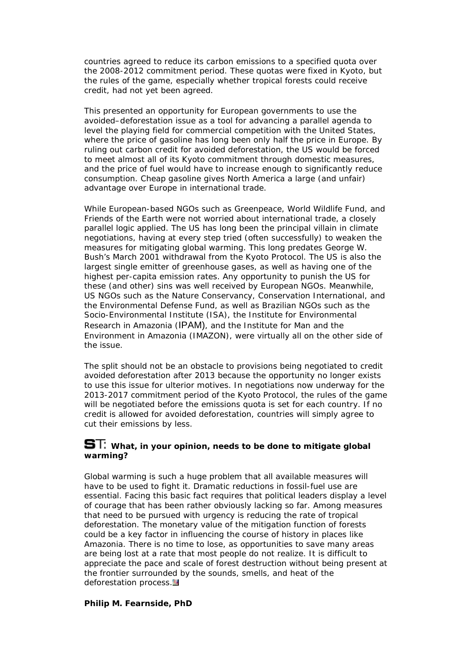countries agreed to reduce its carbon emissions to a specified quota over the 2008-2012 commitment period. These quotas were fixed in Kyoto, but the rules of the game, especially whether tropical forests could receive credit, had not yet been agreed.

This presented an opportunity for European governments to use the avoided–deforestation issue as a tool for advancing a parallel agenda to level the playing field for commercial competition with the United States, where the price of gasoline has long been only half the price in Europe. By ruling out carbon credit for avoided deforestation, the US would be forced to meet almost all of its Kyoto commitment through domestic measures, and the price of fuel would have to increase enough to significantly reduce consumption. Cheap gasoline gives North America a large (and unfair) advantage over Europe in international trade.

While European-based NGOs such as Greenpeace, World Wildlife Fund, and Friends of the Earth were not worried about international trade, a closely parallel logic applied. The US has long been the principal villain in climate negotiations, having at every step tried (often successfully) to weaken the measures for mitigating global warming. This long predates George W. Bush's March 2001 withdrawal from the Kyoto Protocol. The US is also the largest single emitter of greenhouse gases, as well as having one of the highest per-capita emission rates. Any opportunity to punish the US for these (and other) sins was well received by European NGOs. Meanwhile, US NGOs such as the Nature Conservancy, Conservation International, and the Environmental Defense Fund, as well as Brazilian NGOs such as the Socio-Environmental Institute (ISA), the Institute for Environmental Research in Amazonia (IPAM), and the Institute for Man and the Environment in Amazonia (IMAZON), were virtually all on the other side of the issue.

The split should not be an obstacle to provisions being negotiated to credit avoided deforestation after 2013 because the opportunity no longer exists to use this issue for ulterior motives. In negotiations now underway for the 2013-2017 commitment period of the Kyoto Protocol, the rules of the game will be negotiated before the emissions quota is set for each country. If no credit is allowed for avoided deforestation, countries will simply agree to cut their emissions by less.

#### **ST:** What, in your opinion, needs to be done to mitigate global **warming?**

Global warming is such a huge problem that all available measures will have to be used to fight it. Dramatic reductions in fossil-fuel use are essential. Facing this basic fact requires that political leaders display a level of courage that has been rather obviously lacking so far. Among measures that need to be pursued with urgency is reducing the rate of tropical deforestation. The monetary value of the mitigation function of forests could be a key factor in influencing the course of history in places like Amazonia. There is no time to lose, as opportunities to save many areas are being lost at a rate that most people do not realize. It is difficult to appreciate the pace and scale of forest destruction without being present at the frontier surrounded by the sounds, smells, and heat of the deforestation process.<sup>14</sup>

#### **Philip M. Fearnside, PhD**